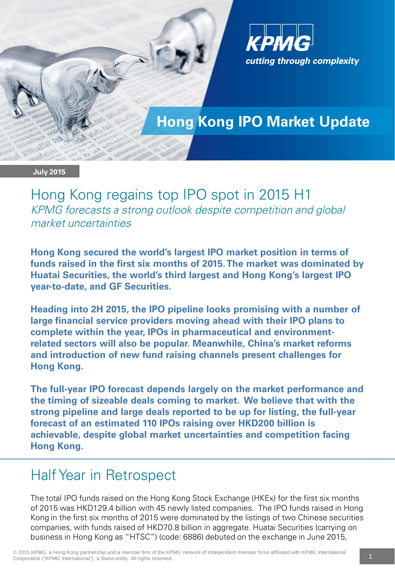

# **Hong Kong IPO Market Update**

#### **July 2015**

Hong Kong regains top IPO spot in 2015 H1 KPMG forecasts a strong outlook despite competition and global market uncertainties

**Hong Kong secured the world's largest IPO market position in terms of funds raised in the first six months of 2015. The market was dominated by Huatai Securities, the world's third largest and Hong Kong's largest IPO year-to-date, and GF Securities.** 

**Heading into 2H 2015, the IPO pipeline looks promising with a number of large financial service providers moving ahead with their IPO plans to complete within the year, IPOs in pharmaceutical and environmentrelated sectors will also be popular. Meanwhile, China's market reforms and introduction of new fund raising channels present challenges for Hong Kong.**

**The full-year IPO forecast depends largely on the market performance and the timing of sizeable deals coming to market. We believe that with the strong pipeline and large deals reported to be up for listing, the full-year forecast of an estimated 110 IPOs raising over HKD200 billion is achievable, despite global market uncertainties and competition facing Hong Kong.**

# Half Year in Retrospect

The total IPO funds raised on the Hong Kong Stock Exchange (HKEx) for the first six months of 2015 was HKD129.4 billion with 45 newly listed companies. The IPO funds raised in Hong Kong in the first six months of 2015 were dominated by the listings of two Chinese securities companies, with funds raised of HKD70.8 billion in aggregate. Huatai Securities (carrying on business in Hong Kong as "HTSC") (code: 6886) debuted on the exchange in June 2015,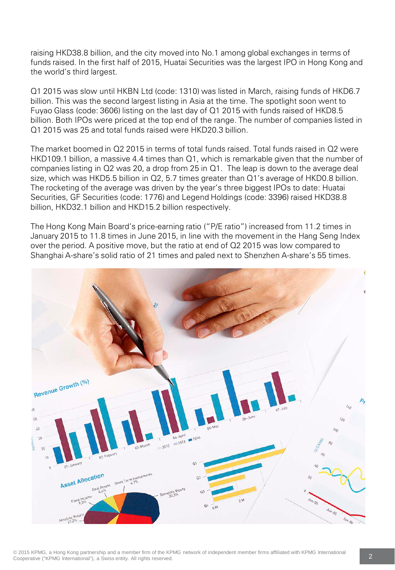raising HKD38.8 billion, and the city moved into No.1 among global exchanges in terms of funds raised. In the first half of 2015, Huatai Securities was the largest IPO in Hong Kong and the world's third largest.

Q1 2015 was slow until HKBN Ltd (code: 1310) was listed in March, raising funds of HKD6.7 billion. This was the second largest listing in Asia at the time. The spotlight soon went to Fuyao Glass (code: 3606) listing on the last day of Q1 2015 with funds raised of HKD8.5 billion. Both IPOs were priced at the top end of the range. The number of companies listed in Q1 2015 was 25 and total funds raised were HKD20.3 billion.

The market boomed in Q2 2015 in terms of total funds raised. Total funds raised in Q2 were HKD109.1 billion, a massive 4.4 times than Q1, which is remarkable given that the number of companies listing in Q2 was 20, a drop from 25 in Q1. The leap is down to the average deal size, which was HKD5.5 billion in Q2, 5.7 times greater than Q1's average of HKD0.8 billion. The rocketing of the average was driven by the year's three biggest IPOs to date: Huatai Securities, GF Securities (code: 1776) and Legend Holdings (code: 3396) raised HKD38.8 billion, HKD32.1 billion and HKD15.2 billion respectively.

The Hong Kong Main Board's price-earning ratio ("P/E ratio") increased from 11.2 times in January 2015 to 11.8 times in June 2015, in line with the movement in the Hang Seng Index over the period. A positive move, but the ratio at end of Q2 2015 was low compared to Shanghai A-share's solid ratio of 21 times and paled next to Shenzhen A-share's 55 times.

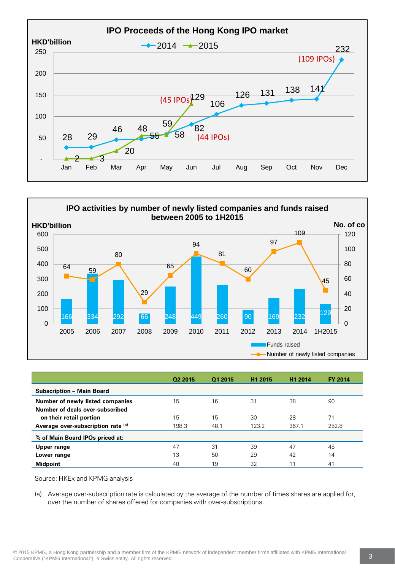



|                                    | Q2 2015 | Q1 2015 | H <sub>1</sub> 2015 | H1 2014 | <b>FY 2014</b> |
|------------------------------------|---------|---------|---------------------|---------|----------------|
| <b>Subscription - Main Board</b>   |         |         |                     |         |                |
| Number of newly listed companies   | 15      | 16      | 31                  | 38      | 90             |
| Number of deals over-subscribed    |         |         |                     |         |                |
| on their retail portion            | 15      | 15      | 30                  | 28      | 71             |
| Average over-subscription rate (a) | 198.3   | 48.1    | 123.2               | 367.1   | 252.8          |
| % of Main Board IPOs priced at:    |         |         |                     |         |                |
| Upper range                        | 47      | 31      | 39                  | 47      | 45             |
| Lower range                        | 13      | 50      | 29                  | 42      | 14             |
| <b>Midpoint</b>                    | 40      | 19      | 32                  | 11      | 41             |

Source: HKEx and KPMG analysis

(a) Average over-subscription rate is calculated by the average of the number of times shares are applied for, over the number of shares offered for companies with over-subscriptions.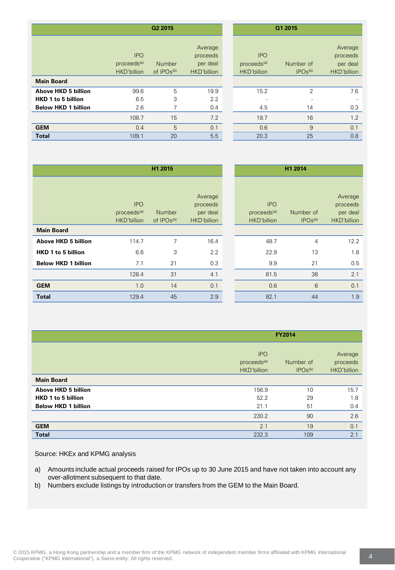|                                               | Q2 2015                          |                                                       |                                                             | Q1 2015                          |                                                       |
|-----------------------------------------------|----------------------------------|-------------------------------------------------------|-------------------------------------------------------------|----------------------------------|-------------------------------------------------------|
| <b>IPO</b><br>eds <sup>(a)</sup> :<br>billion | Number<br>of IPO <sub>s(b)</sub> | Average<br>proceeds<br>per deal<br><b>HKD'billion</b> | <b>IPO</b><br>proceeds <sup>(a)</sup><br><b>HKD'billion</b> | Number of<br>IPOs <sub>(b)</sub> | Average<br>proceeds<br>per deal<br><b>HKD'billion</b> |
|                                               |                                  |                                                       |                                                             |                                  |                                                       |
| 99.6                                          | 5                                | 19.9                                                  | 15.2                                                        | $\overline{2}$                   | 7.6                                                   |
| 6.5                                           | 3                                | 2.2                                                   |                                                             |                                  |                                                       |
| 2.6                                           | 7                                | 0.4                                                   | 4.5                                                         | 14                               | 0.3                                                   |
| 108.7                                         | 15                               | 7.2                                                   | 19.7                                                        | 16                               | 1.2                                                   |
| 0.4                                           | 5                                | 0.1                                                   | 0.6                                                         | 9                                | 0.1                                                   |
| 109.1                                         | 20                               | 5.5                                                   | 20.3                                                        | 25                               | 0.8                                                   |

|                                                                                       | Q2 2015                                              |                                         |                                                | Q1 2015                                              |                                  |                                                |  |
|---------------------------------------------------------------------------------------|------------------------------------------------------|-----------------------------------------|------------------------------------------------|------------------------------------------------------|----------------------------------|------------------------------------------------|--|
|                                                                                       | <b>IPO</b><br>proceeds <sup>(a)</sup><br>HKD'billion | <b>Number</b><br>of IPO <sub>s(b)</sub> | Average<br>proceeds<br>per deal<br>HKD'billion | <b>IPO</b><br>proceeds <sup>(a)</sup><br>HKD'billion | Number of<br>IPOs <sub>(b)</sub> | Average<br>proceeds<br>per deal<br>HKD'billion |  |
| <b>Main Board</b>                                                                     |                                                      |                                         |                                                |                                                      |                                  |                                                |  |
| <b>Above HKD 5 billion</b><br><b>HKD 1 to 5 billion</b><br><b>Below HKD 1 billion</b> | 99.6<br>6.5<br>2.6                                   | 5<br>3<br>7                             | 19.9<br>2.2<br>0.4                             | 15.2<br>4.5                                          | 2<br>14                          | 7.6<br>-<br>0.3                                |  |
|                                                                                       | 108.7                                                | 15                                      | 7.2                                            | 19.7                                                 | 16                               | 1.2                                            |  |
| <b>GEM</b>                                                                            | 0.4                                                  | 5                                       | 0.1                                            | 0.6                                                  | 9                                | 0.1                                            |  |
| <b>Total</b>                                                                          | 109.1                                                | 20                                      | 5.5                                            | 20.3                                                 | 25                               | 0.8                                            |  |

|                            | H1 2015                                                     |                                         |                                                | H1 2014                                              |                                  |                                                |  |
|----------------------------|-------------------------------------------------------------|-----------------------------------------|------------------------------------------------|------------------------------------------------------|----------------------------------|------------------------------------------------|--|
|                            | <b>IPO</b><br>proceeds <sup>(a)</sup><br><b>HKD'billion</b> | <b>Number</b><br>of IPO <sub>s(b)</sub> | Average<br>proceeds<br>per deal<br>HKD'billion | <b>IPO</b><br>proceeds <sup>(a)</sup><br>HKD'billion | Number of<br>IPOs <sub>(b)</sub> | Average<br>proceeds<br>per deal<br>HKD'billion |  |
| <b>Main Board</b>          |                                                             |                                         |                                                |                                                      |                                  |                                                |  |
| <b>Above HKD 5 billion</b> | 114.7                                                       | 7                                       | 16.4                                           | 48.7                                                 | $\overline{4}$                   | 12.2                                           |  |
| HKD 1 to 5 billion         | 6.6                                                         | 3                                       | 2.2                                            | 22.9                                                 | 13                               | 1.8                                            |  |
| <b>Below HKD 1 billion</b> | 7.1                                                         | 21                                      | 0.3                                            | 9.9                                                  | 21                               | 0.5                                            |  |
|                            | 128.4                                                       | 31                                      | 4.1                                            | 81.5                                                 | 38                               | 2.1                                            |  |
| <b>GEM</b>                 | 1.0                                                         | 14                                      | 0.1                                            | 0.6                                                  | 6                                | 0.1                                            |  |
| <b>Total</b>               | 129.4                                                       | 45                                      | 2.9                                            | 82.1                                                 | 44                               | 1.9                                            |  |

|                            | <b>FY2014</b>                                        |                                  |                                    |  |  |
|----------------------------|------------------------------------------------------|----------------------------------|------------------------------------|--|--|
|                            | <b>IPO</b><br>proceeds <sup>(a)</sup><br>HKD'billion | Number of<br>IPOs <sup>(b)</sup> | Average<br>proceeds<br>HKD'billion |  |  |
| <b>Main Board</b>          |                                                      |                                  |                                    |  |  |
| <b>Above HKD 5 billion</b> | 156.9                                                | 10                               | 15.7                               |  |  |
| HKD 1 to 5 billion         | 52.2                                                 | 29                               | 1.8                                |  |  |
| <b>Below HKD 1 billion</b> | 21.1                                                 | 51                               | 0.4                                |  |  |
|                            | 230.2                                                | 90                               | 2.6                                |  |  |
| <b>GEM</b>                 | 2.1                                                  | 19                               | 0.1                                |  |  |
| <b>Total</b>               | 232.3                                                | 109                              | 2.1                                |  |  |

Source: HKEx and KPMG analysis

- a) Amounts include actual proceeds raised for IPOs up to 30 June 2015 and have not taken into account any over-allotment subsequent to that date.
- b) Numbers exclude listings by introduction or transfers from the GEM to the Main Board.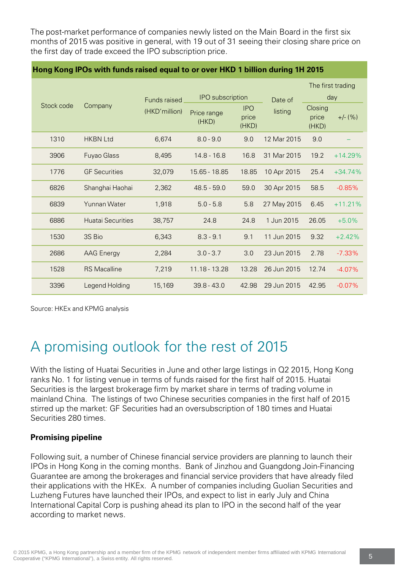The post-market performance of companies newly listed on the Main Board in the first six months of 2015 was positive in general, with 19 out of 31 seeing their closing share price on the first day of trade exceed the IPO subscription price.

#### **Hong Kong IPOs with funds raised equal to or over HKD 1 billion during 1H 2015**

|                       |                          |                     |                         |                              |             | The first trading         |           |
|-----------------------|--------------------------|---------------------|-------------------------|------------------------------|-------------|---------------------------|-----------|
| Stock code<br>Company |                          | <b>Funds raised</b> | <b>IPO</b> subscription |                              | Date of     | day                       |           |
|                       |                          | (HKD'million)       | Price range<br>(HKD)    | <b>IPO</b><br>price<br>(HKD) | listing     | Closing<br>price<br>(HKD) | $+/-$ (%) |
| 1310                  | <b>HKBN Ltd</b>          | 6,674               | $8.0 - 9.0$             | 9.0                          | 12 Mar 2015 | 9.0                       |           |
| 3906                  | <b>Fuyao Glass</b>       | 8,495               | $14.8 - 16.8$           | 16.8                         | 31 Mar 2015 | 19.2                      | $+14.29%$ |
| 1776                  | <b>GF</b> Securities     | 32,079              | 15.65 - 18.85           | 18.85                        | 10 Apr 2015 | 25.4                      | $+34.74%$ |
| 6826                  | Shanghai Haohai          | 2,362               | $48.5 - 59.0$           | 59.0                         | 30 Apr 2015 | 58.5                      | $-0.85%$  |
| 6839                  | Yunnan Water             | 1,918               | $5.0 - 5.8$             | 5.8                          | 27 May 2015 | 6.45                      | $+11.21%$ |
| 6886                  | <b>Huatai Securities</b> | 38,757              | 24.8                    | 24.8                         | 1 Jun 2015  | 26.05                     | $+5.0%$   |
| 1530                  | 3S Bio                   | 6,343               | $8.3 - 9.1$             | 9.1                          | 11 Jun 2015 | 9.32                      | $+2.42%$  |
| 2686                  | <b>AAG Energy</b>        | 2,284               | $3.0 - 3.7$             | 3.0                          | 23 Jun 2015 | 2.78                      | $-7.33\%$ |
| 1528                  | <b>RS Macalline</b>      | 7,219               | 11.18 - 13.28           | 13.28                        | 26 Jun 2015 | 12.74                     | $-4.07%$  |
| 3396                  | Legend Holding           | 15,169              | $39.8 - 43.0$           | 42.98                        | 29 Jun 2015 | 42.95                     | $-0.07%$  |

Source: HKEx and KPMG analysis

# A promising outlook for the rest of 2015

With the listing of Huatai Securities in June and other large listings in Q2 2015, Hong Kong ranks No. 1 for listing venue in terms of funds raised for the first half of 2015. Huatai Securities is the largest brokerage firm by market share in terms of trading volume in mainland China. The listings of two Chinese securities companies in the first half of 2015 stirred up the market: GF Securities had an oversubscription of 180 times and Huatai Securities 280 times.

#### **Promising pipeline**

Following suit, a number of Chinese financial service providers are planning to launch their IPOs in Hong Kong in the coming months. Bank of Jinzhou and Guangdong Join-Financing Guarantee are among the brokerages and financial service providers that have already filed their applications with the HKEx. A number of companies including Guolian Securities and Luzheng Futures have launched their IPOs, and expect to list in early July and China International Capital Corp is pushing ahead its plan to IPO in the second half of the year according to market news.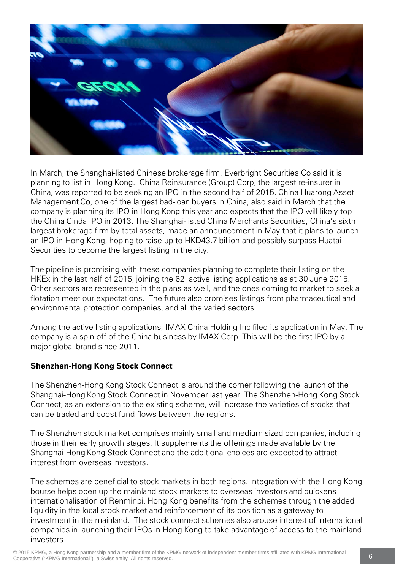

In March, the Shanghai-listed Chinese brokerage firm, Everbright Securities Co said it is planning to list in Hong Kong. China Reinsurance (Group) Corp, the largest re-insurer in China, was reported to be seeking an IPO in the second half of 2015. China Huarong Asset Management Co, one of the largest bad-loan buyers in China, also said in March that the company is planning its IPO in Hong Kong this year and expects that the IPO will likely top the China Cinda IPO in 2013. The Shanghai-listed China Merchants Securities, China's sixth largest brokerage firm by total assets, made an announcement in May that it plans to launch an IPO in Hong Kong, hoping to raise up to HKD43.7 billion and possibly surpass Huatai Securities to become the largest listing in the city.

The pipeline is promising with these companies planning to complete their listing on the HKEx in the last half of 2015, joining the 62 active listing applications as at 30 June 2015. Other sectors are represented in the plans as well, and the ones coming to market to seek a flotation meet our expectations. The future also promises listings from pharmaceutical and environmental protection companies, and all the varied sectors.

Among the active listing applications, IMAX China Holding Inc filed its application in May. The company is a spin off of the China business by IMAX Corp. This will be the first IPO by a major global brand since 2011.

### **Shenzhen-Hong Kong Stock Connect**

The Shenzhen-Hong Kong Stock Connect is around the corner following the launch of the Shanghai-Hong Kong Stock Connect in November last year. The Shenzhen-Hong Kong Stock Connect, as an extension to the existing scheme, will increase the varieties of stocks that can be traded and boost fund flows between the regions.

The Shenzhen stock market comprises mainly small and medium sized companies, including those in their early growth stages. It supplements the offerings made available by the Shanghai-Hong Kong Stock Connect and the additional choices are expected to attract interest from overseas investors.

The schemes are beneficial to stock markets in both regions. Integration with the Hong Kong bourse helps open up the mainland stock markets to overseas investors and quickens internationalisation of Renminbi. Hong Kong benefits from the schemes through the added liquidity in the local stock market and reinforcement of its position as a gateway to investment in the mainland. The stock connect schemes also arouse interest of international companies in launching their IPOs in Hong Kong to take advantage of access to the mainland investors.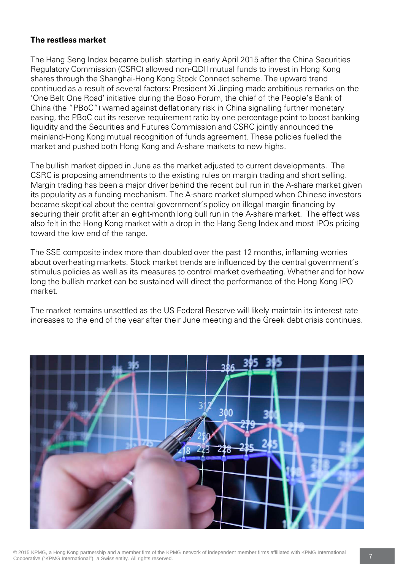#### **The restless market**

The Hang Seng Index became bullish starting in early April 2015 after the China Securities Regulatory Commission (CSRC) allowed non-QDII mutual funds to invest in Hong Kong shares through the Shanghai-Hong Kong Stock Connect scheme. The upward trend continued as a result of several factors: President Xi Jinping made ambitious remarks on the 'One Belt One Road' initiative during the Boao Forum, the chief of the People's Bank of China (the "PBoC") warned against deflationary risk in China signalling further monetary easing, the PBoC cut its reserve requirement ratio by one percentage point to boost banking liquidity and the Securities and Futures Commission and CSRC jointly announced the mainland-Hong Kong mutual recognition of funds agreement. These policies fuelled the market and pushed both Hong Kong and A-share markets to new highs.

The bullish market dipped in June as the market adjusted to current developments. The CSRC is proposing amendments to the existing rules on margin trading and short selling. Margin trading has been a major driver behind the recent bull run in the A-share market given its popularity as a funding mechanism. The A-share market slumped when Chinese investors became skeptical about the central government's policy on illegal margin financing by securing their profit after an eight-month long bull run in the A-share market. The effect was also felt in the Hong Kong market with a drop in the Hang Seng Index and most IPOs pricing toward the low end of the range.

The SSE composite index more than doubled over the past 12 months, inflaming worries about overheating markets. Stock market trends are influenced by the central government's stimulus policies as well as its measures to control market overheating. Whether and for how long the bullish market can be sustained will direct the performance of the Hong Kong IPO market.

The market remains unsettled as the US Federal Reserve will likely maintain its interest rate increases to the end of the year after their June meeting and the Greek debt crisis continues.

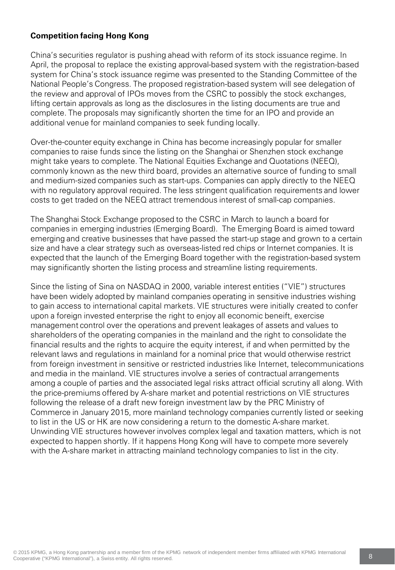### **Competition facing Hong Kong**

China's securities regulator is pushing ahead with reform of its stock issuance regime. In April, the proposal to replace the existing approval-based system with the registration-based system for China's stock issuance regime was presented to the Standing Committee of the National People's Congress. The proposed registration-based system will see delegation of the review and approval of IPOs moves from the CSRC to possibly the stock exchanges, lifting certain approvals as long as the disclosures in the listing documents are true and complete. The proposals may significantly shorten the time for an IPO and provide an additional venue for mainland companies to seek funding locally.

Over-the-counter equity exchange in China has become increasingly popular for smaller companies to raise funds since the listing on the Shanghai or Shenzhen stock exchange might take years to complete. The National Equities Exchange and Quotations (NEEQ), commonly known as the new third board, provides an alternative source of funding to small and medium-sized companies such as start-ups. Companies can apply directly to the NEEQ with no regulatory approval required. The less stringent qualification requirements and lower costs to get traded on the NEEQ attract tremendous interest of small-cap companies.

The Shanghai Stock Exchange proposed to the CSRC in March to launch a board for companies in emerging industries (Emerging Board). The Emerging Board is aimed toward emerging and creative businesses that have passed the start-up stage and grown to a certain size and have a clear strategy such as overseas-listed red chips or Internet companies. It is expected that the launch of the Emerging Board together with the registration-based system may significantly shorten the listing process and streamline listing requirements.

Since the listing of Sina on NASDAQ in 2000, variable interest entities ("VIE") structures have been widely adopted by mainland companies operating in sensitive industries wishing to gain access to international capital markets. VIE structures were initially created to confer upon a foreign invested enterprise the right to enjoy all economic beneift, exercise management control over the operations and prevent leakages of assets and values to shareholders of the operating companies in the mainland and the right to consolidate the financial results and the rights to acquire the equity interest, if and when permitted by the relevant laws and regulations in mainland for a nominal price that would otherwise restrict from foreign investment in sensitive or restricted industries like Internet, telecommunications and media in the mainland. VIE structures involve a series of contractual arrangements among a couple of parties and the associated legal risks attract official scrutiny all along. With the price-premiums offered by A-share market and potential restrictions on VIE structures following the release of a draft new foreign investment law by the PRC Ministry of Commerce in January 2015, more mainland technology companies currently listed or seeking to list in the US or HK are now considering a return to the domestic A-share market. Unwinding VIE structures however involves complex legal and taxation matters, which is not expected to happen shortly. If it happens Hong Kong will have to compete more severely with the A-share market in attracting mainland technology companies to list in the city.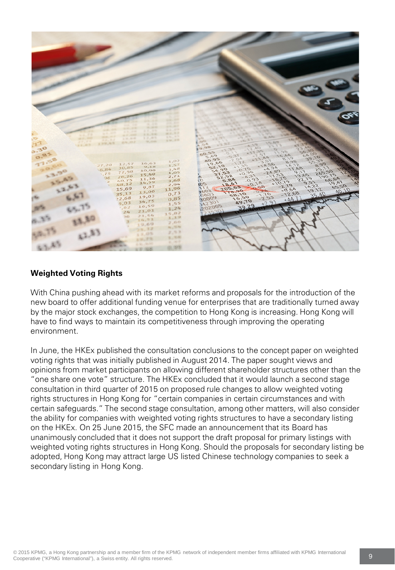

## **Weighted Voting Rights**

With China pushing ahead with its market reforms and proposals for the introduction of the new board to offer additional funding venue for enterprises that are traditionally turned away by the major stock exchanges, the competition to Hong Kong is increasing. Hong Kong will have to find ways to maintain its competitiveness through improving the operating environment.

In June, the HKEx published the consultation conclusions to the concept paper on weighted voting rights that was initially published in August 2014. The paper sought views and opinions from market participants on allowing different shareholder structures other than the "one share one vote" structure. The HKEx concluded that it would launch a second stage consultation in third quarter of 2015 on proposed rule changes to allow weighted voting rights structures in Hong Kong for "certain companies in certain circumstances and with certain safeguards." The second stage consultation, among other matters, will also consider the ability for companies with weighted voting rights structures to have a secondary listing on the HKEx. On 25 June 2015, the SFC made an announcement that its Board has unanimously concluded that it does not support the draft proposal for primary listings with weighted voting rights structures in Hong Kong. Should the proposals for secondary listing be adopted, Hong Kong may attract large US listed Chinese technology companies to seek a secondary listing in Hong Kong.